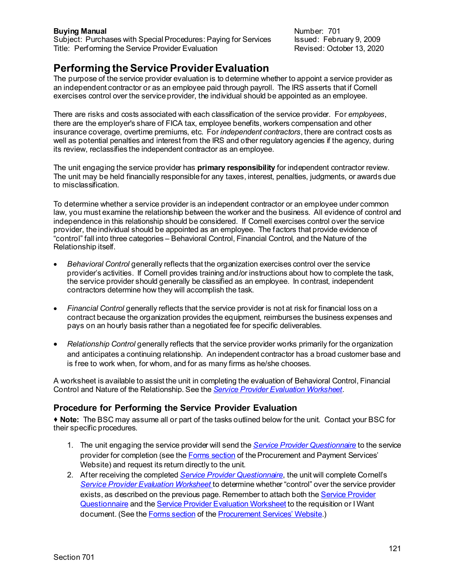**Buying Manual** Number: 701 Subject: Purchases with Special Procedures: Paying for Services Issued: February 9, 2009<br>Title: Performing the Service Provider Evaluation **Interpretery Prevised: October 13, 2020** Title: Performing the Service Provider Evaluation

# **Performing the Service Provider Evaluation**

The purpose of the service provider evaluation is to determine whether to appoint a service provider as an independent contractor or as an employee paid through payroll. The IRS asserts that if Cornell exercises control over the service provider, the individual should be appointed as an employee.

There are risks and costs associated with each classification of the service provider. For *employees*, there are the employer's share of FICA tax, employee benefits, workers compensation and other insurance coverage, overtime premiums, etc. For *independent contractors*, there are contract costs as well as potential penalties and interest from the IRS and other regulatory agencies if the agency, during its review, reclassifies the independent contractor as an employee.

The unit engaging the service provider has **primary responsibility** for independent contractor review. The unit may be held financially responsible for any taxes, interest, penalties, judgments, or awards due to misclassification.

To determine whether a service provider is an independent contractor or an employee under common law, you must examine the relationship between the worker and the business. All evidence of control and independence in this relationship should be considered. If Cornell exercises control over the service provider, the individual should be appointed as an employee. The factors that provide evidence of "control" fall into three categories – Behavioral Control, Financial Control, and the Nature of the Relationship itself.

- *Behavioral Control* generally reflects that the organization exercises control over the service provider's activities. If Cornell provides training and/or instructions about how to complete the task, the service provider should generally be classified as an employee. In contrast, independent contractors determine how they will accomplish the task.
- *Financial Control* generally reflects that the service provider is not at risk for financial loss on a contract because the organization provides the equipment, reimburses the business expenses and pays on an hourly basis rather than a negotiated fee for specific deliverables.
- *Relationship Control* generally reflects that the service provider works primarily for the organization and anticipates a continuing relationship. An independent contractor has a broad customer base and is free to work when, for whom, and for as many firms as he/she chooses.

A worksheet is available to assist the unit in completing the evaluation of Behavioral Control, Financial Control and Nature of the Relationship. See the *Service Provider Evaluation [Worksheet](https://www.dfa.cornell.edu/sites/default/files/service-provider-evaluation-worksheet.pdf)*.

## **Procedure for Performing the Service Provider Evaluation**

 **Note:** The BSC may assume all or part of the tasks outlined below for the unit. Contact your BSC for their specific procedures.

- 1. The unit engaging the service provider will send the *Service Provider [Questionnaire](https://www.dfa.cornell.edu/sites/default/files/service-provider-questionnaire.pdf)* to the service provider for completion (see th[e Forms](https://www.dfa.cornell.edu/procurement/tools-forms/forms/contracts) section of the Procurement and Payment Services' Website) and request its return directly to the unit.
- 2. After receiving the completed *Service Provider [Questionnaire](https://www.dfa.cornell.edu/sites/default/files/service-provider-questionnaire.pdf)*, the unit will complete Cornell's *[Service Provider Evaluation](https://www.dfa.cornell.edu/sites/default/files/service-provider-evaluation-worksheet.pdf) Worksheet* to determine whether "control" over the service provider exists, as described on the previous page. Remember to attach both the Service Provider [Questionnaire](https://www.dfa.cornell.edu/sites/default/files/service-provider-questionnaire.pdf) and th[e Service Provider Evaluation Worksheet](https://www.dfa.cornell.edu/sites/default/files/service-provider-evaluation-worksheet.pdf) to the requisition or I Want document. (See th[e Forms](https://www.dfa.cornell.edu/procurement/tools-forms/forms/contracts) section of th[e Procurement Services' Website](http://www.dfa.cornell.edu/procurement/tools-forms/forms/contracts).)